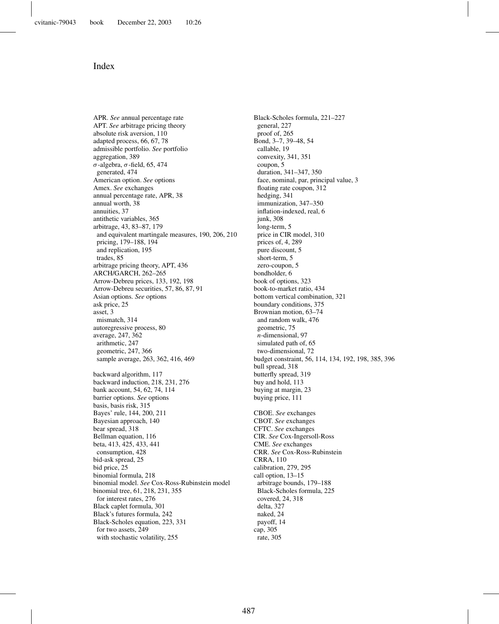## Index

APR. *See* annual percentage rate APT. *See* arbitrage pricing theory absolute risk aversion, 110 adapted process, 66, 67, 78 admissible portfolio. *See* portfolio aggregation, 389 σ-algebra, σ-field, 65, 474 generated, 474 American option. *See* options Amex. *See* exchanges annual percentage rate, APR, 38 annual worth, 38 annuities, 37 antithetic variables, 365 arbitrage, 43, 83–87, 179 and equivalent martingale measures, 190, 206, 210 pricing, 179–188, 194 and replication, 195 trades, 85 arbitrage pricing theory, APT, 436 ARCH/GARCH, 262–265 Arrow-Debreu prices, 133, 192, 198 Arrow-Debreu securities, 57, 86, 87, 91 Asian options. *See* options ask price, 25 asset, 3 mismatch, 314 autoregressive process, 80 average, 247, 362 arithmetic, 247 geometric, 247, 366 sample average, 263, 362, 416, 469 backward algorithm, 117 backward induction, 218, 231, 276 bank account, 54, 62, 74, 114 barrier options. *See* options basis, basis risk, 315 Bayes' rule, 144, 200, 211 Bayesian approach, 140 bear spread, 318 Bellman equation, 116 beta, 413, 425, 433, 441 consumption, 428 bid-ask spread, 25 bid price, 25 binomial formula, 218 binomial model. *See* Cox-Ross-Rubinstein model binomial tree, 61, 218, 231, 355 for interest rates, 276 Black caplet formula, 301 Black's futures formula, 242 Black-Scholes equation, 223, 331 for two assets, 249 with stochastic volatility, 255

Black-Scholes formula, 221–227 general, 227 proof of, 265 Bond, 3–7, 39–48, 54 callable, 19 convexity, 341, 351 coupon, 5 duration, 341–347, 350 face, nominal, par, principal value, 3 floating rate coupon, 312 hedging, 341 immunization, 347–350 inflation-indexed, real, 6 junk, 308 long-term, 5 price in CIR model, 310 prices of, 4, 289 pure discount, 5 short-term, 5 zero-coupon, 5 bondholder, 6 book of options, 323 book-to-market ratio, 434 bottom vertical combination, 321 boundary conditions, 375 Brownian motion, 63–74 and random walk, 476 geometric, 75 *n*-dimensional, 97 simulated path of, 65 two-dimensional, 72 budget constraint, 56, 114, 134, 192, 198, 385, 396 bull spread, 318 butterfly spread, 319 buy and hold, 113 buying at margin, 23 buying price, 111 CBOE. *See* exchanges CBOT. *See* exchanges CFTC. *See* exchanges CIR. *See* Cox-Ingersoll-Ross CME. *See* exchanges CRR. *See* Cox-Ross-Rubinstein CRRA, 110 calibration, 279, 295 call option, 13–15 arbitrage bounds, 179–188 Black-Scholes formula, 225 covered, 24, 318 delta, 327 naked, 24 payoff, 14 cap, 305 rate, 305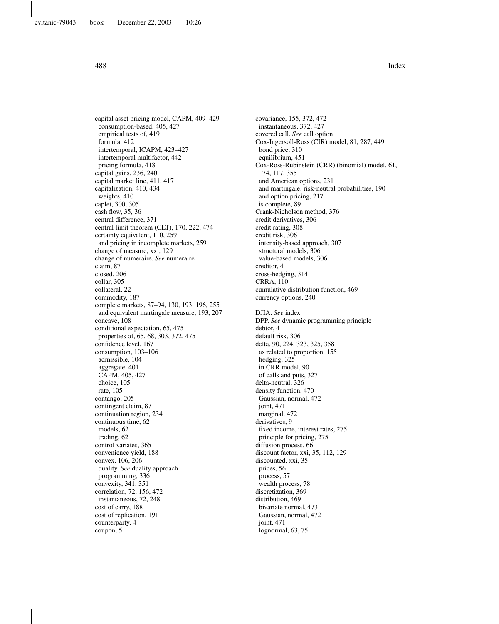capital asset pricing model, CAPM, 409–429 consumption-based, 405, 427 empirical tests of, 419 formula, 412 intertemporal, ICAPM, 423–427 intertemporal multifactor, 442 pricing formula, 418 capital gains, 236, 240 capital market line, 411, 417 capitalization, 410, 434 weights, 410 caplet, 300, 305 cash flow, 35, 36 central difference, 371 central limit theorem (CLT), 170, 222, 474 certainty equivalent, 110, 259 and pricing in incomplete markets, 259 change of measure, xxi, 129 change of numeraire. *See* numeraire claim, 87 closed, 206 collar, 305 collateral, 22 commodity, 187 complete markets, 87–94, 130, 193, 196, 255 and equivalent martingale measure, 193, 207 concave, 108 conditional expectation, 65, 475 properties of, 65, 68, 303, 372, 475 confidence level, 167 consumption, 103–106 admissible, 104 aggregate, 401 CAPM, 405, 427 choice, 105 rate, 105 contango, 205 contingent claim, 87 continuation region, 234 continuous time, 62 models, 62 trading, 62 control variates, 365 convenience yield, 188 convex, 106, 206 duality. *See* duality approach programming, 336 convexity, 341, 351 correlation, 72, 156, 472 instantaneous, 72, 248 cost of carry, 188 cost of replication, 191 counterparty, 4 coupon, 5

covariance, 155, 372, 472 instantaneous, 372, 427 covered call. *See* call option Cox-Ingersoll-Ross (CIR) model, 81, 287, 449 bond price, 310 equilibrium, 451 Cox-Ross-Rubinstein (CRR) (binomial) model, 61, 74, 117, 355 and American options, 231 and martingale, risk-neutral probabilities, 190 and option pricing, 217 is complete, 89 Crank-Nicholson method, 376 credit derivatives, 306 credit rating, 308 credit risk, 306 intensity-based approach, 307 structural models, 306 value-based models, 306 creditor, 4 cross-hedging, 314 CRRA, 110 cumulative distribution function, 469 currency options, 240 DJIA. *See* index DPP. *See* dynamic programming principle debtor, 4 default risk, 306 delta, 90, 224, 323, 325, 358 as related to proportion, 155 hedging, 325 in CRR model, 90 of calls and puts, 327 delta-neutral, 326 density function, 470 Gaussian, normal, 472 joint, 471 marginal, 472 derivatives, 9 fixed income, interest rates, 275 principle for pricing, 275 diffusion process, 66 discount factor, xxi, 35, 112, 129 discounted, xxi, 35 prices, 56 process, 57 wealth process, 78 discretization, 369 distribution, 469 bivariate normal, 473 Gaussian, normal, 472 joint, 471 lognormal, 63, 75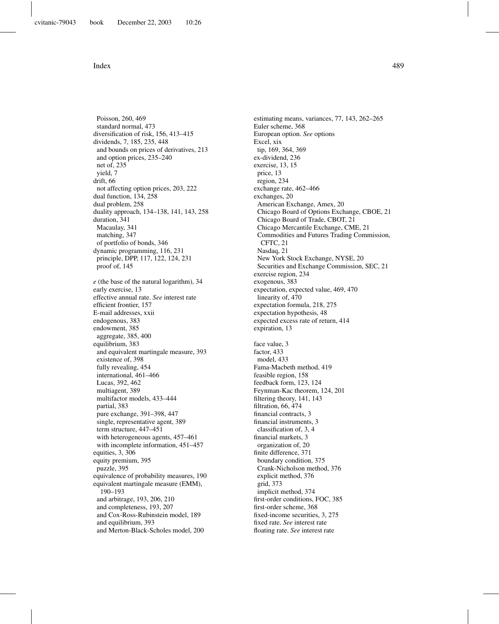Poisson, 260, 469 standard normal, 473 diversification of risk, 156, 413–415 dividends, 7, 185, 235, 448 and bounds on prices of derivatives, 213 and option prices, 235–240 net of, 235 yield, 7 drift, 66 not affecting option prices, 203, 222 dual function, 134, 258 dual problem, 258 duality approach, 134–138, 141, 143, 258 duration, 341 Macaulay, 341 matching, 347 of portfolio of bonds, 346 dynamic programming, 116, 231 principle, DPP, 117, 122, 124, 231 proof of, 145 *e* (the base of the natural logarithm), 34 early exercise, 13 effective annual rate. *See* interest rate efficient frontier, 157 E-mail addresses, xxii endogenous, 383 endowment, 385 aggregate, 385, 400 equilibrium, 383 and equivalent martingale measure, 393 existence of, 398 fully revealing, 454 international, 461–466 Lucas, 392, 462 multiagent, 389 multifactor models, 433–444 partial, 383 pure exchange, 391–398, 447 single, representative agent, 389 term structure, 447–451 with heterogeneous agents, 457–461 with incomplete information, 451–457 equities, 3, 306 equity premium, 395 puzzle, 395 equivalence of probability measures, 190 equivalent martingale measure (EMM), 190–193 and arbitrage, 193, 206, 210 and completeness, 193, 207 and Cox-Ross-Rubinstein model, 189 and equilibrium, 393 and Merton-Black-Scholes model, 200

estimating means, variances, 77, 143, 262–265 Euler scheme, 368 European option. *See* options Excel, xix tip, 169, 364, 369 ex-dividend, 236 exercise, 13, 15 price, 13 region, 234 exchange rate, 462–466 exchanges, 20 American Exchange, Amex, 20 Chicago Board of Options Exchange, CBOE, 21 Chicago Board of Trade, CBOT, 21 Chicago Mercantile Exchange, CME, 21 Commodities and Futures Trading Commission, CFTC, 21 Nasdaq, 21 New York Stock Exchange, NYSE, 20 Securities and Exchange Commission, SEC, 21 exercise region, 234 exogenous, 383 expectation, expected value, 469, 470 linearity of, 470 expectation formula, 218, 275 expectation hypothesis, 48 expected excess rate of return, 414 expiration, 13 face value, 3 factor, 433 model, 433 Fama-Macbeth method, 419 feasible region, 158 feedback form, 123, 124 Feynman-Kac theorem, 124, 201 filtering theory, 141, 143 filtration, 66, 474 financial contracts, 3 financial instruments, 3 classification of, 3, 4 financial markets, 3 organization of, 20 finite difference, 371 boundary condition, 375 Crank-Nicholson method, 376 explicit method, 376 grid, 373 implicit method, 374 first-order conditions, FOC, 385 first-order scheme, 368 fixed-income securities, 3, 275 fixed rate. *See* interest rate floating rate. *See* interest rate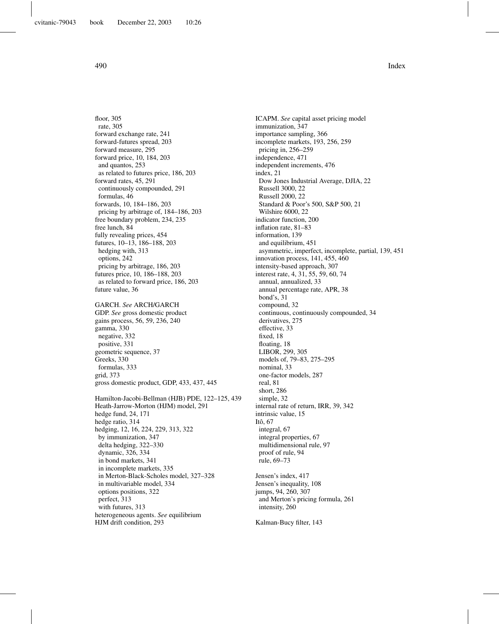floor, 305 rate, 305 forward exchange rate, 241 forward-futures spread, 203 forward measure, 295 forward price, 10, 184, 203 and quantos, 253 as related to futures price, 186, 203 forward rates, 45, 291 continuously compounded, 291 formulas, 46 forwards, 10, 184–186, 203 pricing by arbitrage of, 184–186, 203 free boundary problem, 234, 235 free lunch, 84 fully revealing prices, 454 futures, 10–13, 186–188, 203 hedging with, 313 options, 242 pricing by arbitrage, 186, 203 futures price, 10, 186–188, 203 as related to forward price, 186, 203 future value, 36

GARCH. *See* ARCH/GARCH GDP. *See* gross domestic product gains process, 56, 59, 236, 240 gamma, 330 negative, 332 positive, 331 geometric sequence, 37 Greeks, 330 formulas, 333 grid, 373 gross domestic product, GDP, 433, 437, 445

Hamilton-Jacobi-Bellman (HJB) PDE, 122–125, 439 Heath-Jarrow-Morton (HJM) model, 291 hedge fund, 24, 171 hedge ratio, 314 hedging, 12, 16, 224, 229, 313, 322 by immunization, 347 delta hedging, 322–330 dynamic, 326, 334 in bond markets, 341 in incomplete markets, 335 in Merton-Black-Scholes model, 327–328 in multivariable model, 334 options positions, 322 perfect, 313 with futures, 313 heterogeneous agents. *See* equilibrium HJM drift condition, 293

ICAPM. *See* capital asset pricing model immunization, 347 importance sampling, 366 incomplete markets, 193, 256, 259 pricing in, 256–259 independence, 471 independent increments, 476 index, 21 Dow Jones Industrial Average, DJIA, 22 Russell 3000, 22 Russell 2000, 22 Standard & Poor's 500, S&P 500, 21 Wilshire 6000, 22 indicator function, 200 inflation rate, 81–83 information, 139 and equilibrium, 451 asymmetric, imperfect, incomplete, partial, 139, 451 innovation process, 141, 455, 460 intensity-based approach, 307 interest rate, 4, 31, 55, 59, 60, 74 annual, annualized, 33 annual percentage rate, APR, 38 bond's, 31 compound, 32 continuous, continuously compounded, 34 derivatives, 275 effective, 33 fixed, 18 floating, 18 LIBOR, 299, 305 models of, 79–83, 275–295 nominal, 33 one-factor models, 287 real, 81 short, 286 simple, 32 internal rate of return, IRR, 39, 342 intrinsic value, 15 Itô, 67 integral, 67 integral properties, 67 multidimensional rule, 97 proof of rule, 94 rule, 69–73 Jensen's index, 417 Jensen's inequality, 108 jumps, 94, 260, 307 and Merton's pricing formula, 261 intensity, 260

Kalman-Bucy filter, 143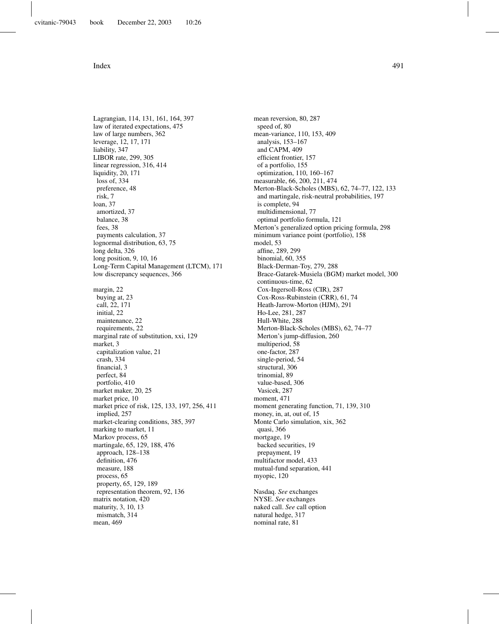Lagrangian, 114, 131, 161, 164, 397 law of iterated expectations, 475 law of large numbers, 362 leverage, 12, 17, 171 liability, 347 LIBOR rate, 299, 305 linear regression, 316, 414 liquidity, 20, 171 loss of, 334 preference, 48 risk, 7 loan, 37 amortized, 37 balance, 38 fees, 38 payments calculation, 37 lognormal distribution, 63, 75 long delta, 326 long position, 9, 10, 16 Long-Term Capital Management (LTCM), 171 low discrepancy sequences, 366 margin, 22 buying at, 23 call, 22, 171 initial, 22 maintenance, 22 requirements, 22 marginal rate of substitution, xxi, 129 market, 3 capitalization value, 21 crash, 334 financial, 3 perfect, 84 portfolio, 410 market maker, 20, 25 market price, 10 market price of risk, 125, 133, 197, 256, 411 implied, 257 market-clearing conditions, 385, 397 marking to market, 11 Markov process, 65 martingale, 65, 129, 188, 476 approach, 128–138 definition, 476 measure, 188 process, 65 property, 65, 129, 189 representation theorem, 92, 136 matrix notation, 420 maturity, 3, 10, 13 mismatch, 314 mean, 469

mean reversion, 80, 287 speed of, 80 mean-variance, 110, 153, 409 analysis, 153–167 and CAPM, 409 efficient frontier, 157 of a portfolio, 155 optimization, 110, 160–167 measurable, 66, 200, 211, 474 Merton-Black-Scholes (MBS), 62, 74–77, 122, 133 and martingale, risk-neutral probabilities, 197 is complete, 94 multidimensional, 77 optimal portfolio formula, 121 Merton's generalized option pricing formula, 298 minimum variance point (portfolio), 158 model, 53 affine, 289, 299 binomial, 60, 355 Black-Derman-Toy, 279, 288 Brace-Gatarek-Musiela (BGM) market model, 300 continuous-time, 62 Cox-Ingersoll-Ross (CIR), 287 Cox-Ross-Rubinstein (CRR), 61, 74 Heath-Jarrow-Morton (HJM), 291 Ho-Lee, 281, 287 Hull-White, 288 Merton-Black-Scholes (MBS), 62, 74–77 Merton's jump-diffusion, 260 multiperiod, 58 one-factor, 287 single-period, 54 structural, 306 trinomial, 89 value-based, 306 Vasicek, 287 moment, 471 moment generating function, 71, 139, 310 money, in, at, out of, 15 Monte Carlo simulation, xix, 362 quasi, 366 mortgage, 19 backed securities, 19 prepayment, 19 multifactor model, 433 mutual-fund separation, 441 myopic, 120 Nasdaq. *See* exchanges NYSE. *See* exchanges naked call. *See* call option natural hedge, 317

nominal rate, 81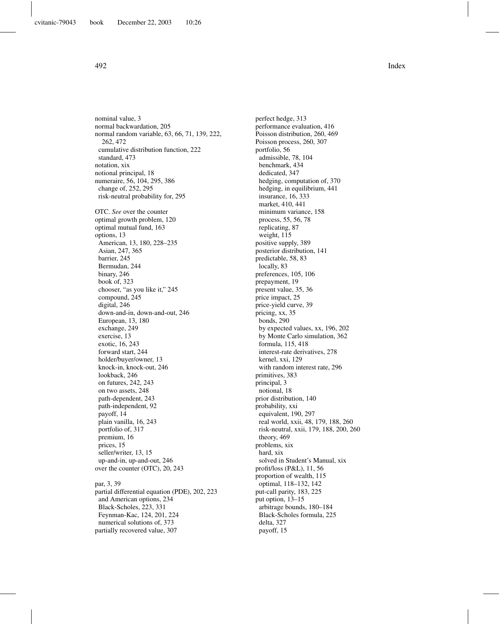nominal value, 3 normal backwardation, 205 normal random variable, 63, 66, 71, 139, 222, 262, 472 cumulative distribution function, 222 standard, 473 notation, xix notional principal, 18 numeraire, 56, 104, 295, 386 change of, 252, 295 risk-neutral probability for, 295 OTC. *See* over the counter optimal growth problem, 120 optimal mutual fund, 163 options, 13 American, 13, 180, 228–235 Asian, 247, 365 barrier, 245 Bermudan, 244 binary, 246 book of, 323 chooser, "as you like it," 245 compound, 245 digital, 246 down-and-in, down-and-out, 246 European, 13, 180 exchange, 249 exercise, 13 exotic, 16, 243 forward start, 244 holder/buyer/owner, 13 knock-in, knock-out, 246 lookback, 246 on futures, 242, 243 on two assets, 248 path-dependent, 243 path-independent, 92 payoff, 14 plain vanilla, 16, 243 portfolio of, 317 premium, 16 prices, 15 seller/writer, 13, 15 up-and-in, up-and-out, 246 over the counter (OTC), 20, 243 par, 3, 39 partial differential equation (PDE), 202, 223 and American options, 234 Black-Scholes, 223, 331 Feynman-Kac, 124, 201, 224 numerical solutions of, 373

partially recovered value, 307

perfect hedge, 313 performance evaluation, 416 Poisson distribution, 260, 469 Poisson process, 260, 307 portfolio, 56 admissible, 78, 104 benchmark, 434 dedicated, 347 hedging, computation of, 370 hedging, in equilibrium, 441 insurance, 16, 333 market, 410, 441 minimum variance, 158 process, 55, 56, 78 replicating, 87 weight, 115 positive supply, 389 posterior distribution, 141 predictable, 58, 83 locally, 83 preferences, 105, 106 prepayment, 19 present value, 35, 36 price impact, 25 price-yield curve, 39 pricing, xx, 35 bonds, 290 by expected values, xx, 196, 202 by Monte Carlo simulation, 362 formula, 115, 418 interest-rate derivatives, 278 kernel, xxi, 129 with random interest rate, 296 primitives, 383 principal, 3 notional, 18 prior distribution, 140 probability, xxi equivalent, 190, 297 real world, xxii, 48, 179, 188, 260 risk-neutral, xxii, 179, 188, 200, 260 theory, 469 problems, xix hard, xix solved in Student's Manual, xix profit/loss (P&L), 11, 56 proportion of wealth, 115 optimal, 118–132, 142 put-call parity, 183, 225 put option, 13–15 arbitrage bounds, 180–184 Black-Scholes formula, 225 delta, 327 payoff, 15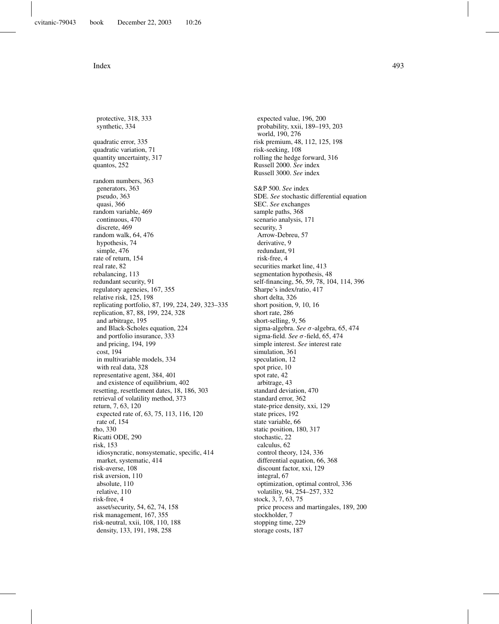protective, 318, 333 synthetic, 334 quadratic error, 335 quadratic variation, 71 quantity uncertainty, 317 quantos, 252 random numbers, 363 generators, 363 pseudo, 363 quasi, 366 random variable, 469 continuous, 470 discrete, 469 random walk, 64, 476 hypothesis, 74 simple, 476 rate of return, 154 real rate, 82 rebalancing, 113 redundant security, 91 regulatory agencies, 167, 355 relative risk, 125, 198 replicating portfolio, 87, 199, 224, 249, 323–335 replication, 87, 88, 199, 224, 328 and arbitrage, 195 and Black-Scholes equation, 224 and portfolio insurance, 333 and pricing, 194, 199 cost, 194 in multivariable models, 334 with real data, 328 representative agent, 384, 401 and existence of equilibrium, 402 resetting, resettlement dates, 18, 186, 303 retrieval of volatility method, 373 return, 7, 63, 120 expected rate of, 63, 75, 113, 116, 120 rate of, 154 rho, 330 Ricatti ODE, 290 risk, 153 idiosyncratic, nonsystematic, specific, 414 market, systematic, 414 risk-averse, 108 risk aversion, 110 absolute, 110 relative, 110 risk-free, 4 asset/security, 54, 62, 74, 158 risk management, 167, 355 risk-neutral, xxii, 108, 110, 188 density, 133, 191, 198, 258

expected value, 196, 200 probability, xxii, 189–193, 203 world, 190, 276 risk premium, 48, 112, 125, 198 risk-seeking, 108 rolling the hedge forward, 316 Russell 2000. *See* index Russell 3000. *See* index S&P 500. *See* index SDE. *See* stochastic differential equation SEC. *See* exchanges sample paths, 368 scenario analysis, 171 security, 3 Arrow-Debreu, 57 derivative, 9 redundant, 91 risk-free, 4 securities market line, 413 segmentation hypothesis, 48 self-financing, 56, 59, 78, 104, 114, 396 Sharpe's index/ratio, 417 short delta, 326 short position, 9, 10, 16 short rate, 286 short-selling, 9, 56 sigma-algebra. *See* σ-algebra, 65, 474 sigma-field. *See* σ-field, 65, 474 simple interest. *See* interest rate simulation, 361 speculation, 12 spot price, 10 spot rate, 42 arbitrage, 43 standard deviation, 470 standard error, 362 state-price density, xxi, 129 state prices, 192 state variable, 66 static position, 180, 317 stochastic, 22 calculus, 62 control theory, 124, 336 differential equation, 66, 368 discount factor, xxi, 129 integral, 67 optimization, optimal control, 336 volatility, 94, 254–257, 332 stock, 3, 7, 63, 75 price process and martingales, 189, 200 stockholder, 7 stopping time, 229 storage costs, 187